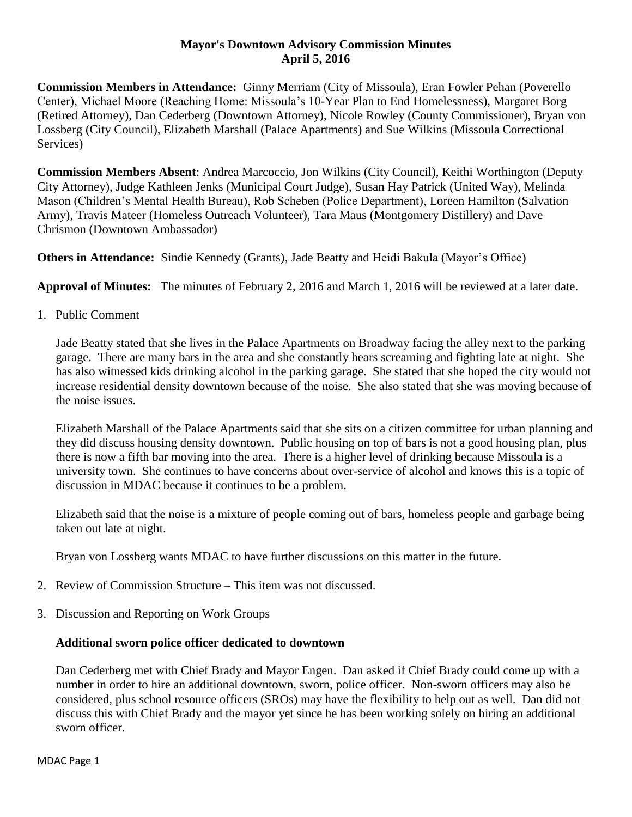### **Mayor's Downtown Advisory Commission Minutes April 5, 2016**

**Commission Members in Attendance:** Ginny Merriam (City of Missoula), Eran Fowler Pehan (Poverello Center), Michael Moore (Reaching Home: Missoula's 10-Year Plan to End Homelessness), Margaret Borg (Retired Attorney), Dan Cederberg (Downtown Attorney), Nicole Rowley (County Commissioner), Bryan von Lossberg (City Council), Elizabeth Marshall (Palace Apartments) and Sue Wilkins (Missoula Correctional Services)

**Commission Members Absent**: Andrea Marcoccio, Jon Wilkins (City Council), Keithi Worthington (Deputy City Attorney), Judge Kathleen Jenks (Municipal Court Judge), Susan Hay Patrick (United Way), Melinda Mason (Children's Mental Health Bureau), Rob Scheben (Police Department), Loreen Hamilton (Salvation Army), Travis Mateer (Homeless Outreach Volunteer), Tara Maus (Montgomery Distillery) and Dave Chrismon (Downtown Ambassador)

**Others in Attendance:** Sindie Kennedy (Grants), Jade Beatty and Heidi Bakula (Mayor's Office)

**Approval of Minutes:** The minutes of February 2, 2016 and March 1, 2016 will be reviewed at a later date.

1. Public Comment

Jade Beatty stated that she lives in the Palace Apartments on Broadway facing the alley next to the parking garage. There are many bars in the area and she constantly hears screaming and fighting late at night. She has also witnessed kids drinking alcohol in the parking garage. She stated that she hoped the city would not increase residential density downtown because of the noise. She also stated that she was moving because of the noise issues.

Elizabeth Marshall of the Palace Apartments said that she sits on a citizen committee for urban planning and they did discuss housing density downtown. Public housing on top of bars is not a good housing plan, plus there is now a fifth bar moving into the area. There is a higher level of drinking because Missoula is a university town. She continues to have concerns about over-service of alcohol and knows this is a topic of discussion in MDAC because it continues to be a problem.

Elizabeth said that the noise is a mixture of people coming out of bars, homeless people and garbage being taken out late at night.

Bryan von Lossberg wants MDAC to have further discussions on this matter in the future.

- 2. Review of Commission Structure This item was not discussed.
- 3. Discussion and Reporting on Work Groups

## **Additional sworn police officer dedicated to downtown**

Dan Cederberg met with Chief Brady and Mayor Engen. Dan asked if Chief Brady could come up with a number in order to hire an additional downtown, sworn, police officer. Non-sworn officers may also be considered, plus school resource officers (SROs) may have the flexibility to help out as well. Dan did not discuss this with Chief Brady and the mayor yet since he has been working solely on hiring an additional sworn officer.